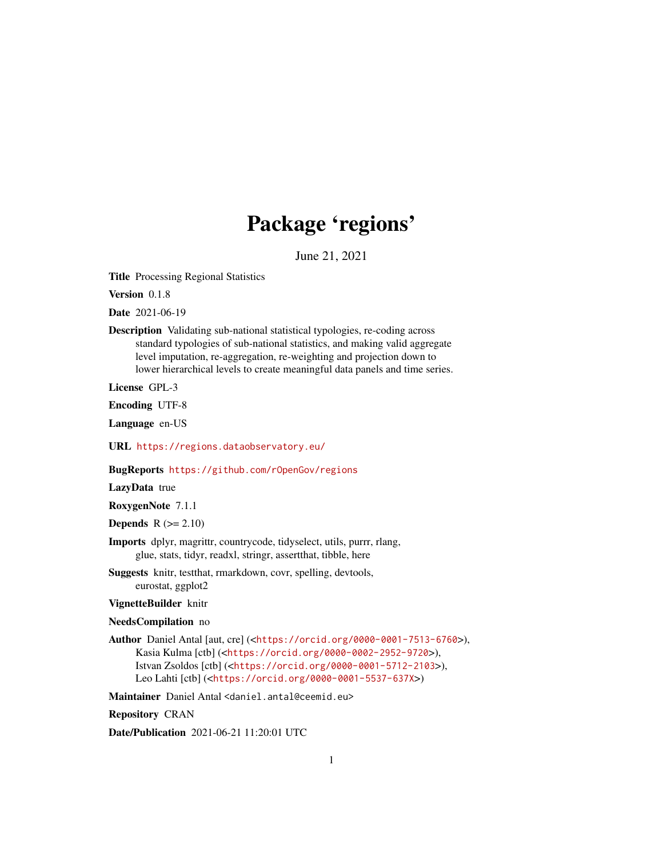## Package 'regions'

June 21, 2021

<span id="page-0-0"></span>Title Processing Regional Statistics

Version 0.1.8

Date 2021-06-19

Description Validating sub-national statistical typologies, re-coding across standard typologies of sub-national statistics, and making valid aggregate level imputation, re-aggregation, re-weighting and projection down to lower hierarchical levels to create meaningful data panels and time series.

License GPL-3

Encoding UTF-8

Language en-US

URL <https://regions.dataobservatory.eu/>

BugReports <https://github.com/rOpenGov/regions>

LazyData true

RoxygenNote 7.1.1

Depends  $R (= 2.10)$ 

Imports dplyr, magrittr, countrycode, tidyselect, utils, purrr, rlang, glue, stats, tidyr, readxl, stringr, assertthat, tibble, here

Suggests knitr, testthat, rmarkdown, covr, spelling, devtools, eurostat, ggplot2

VignetteBuilder knitr

#### NeedsCompilation no

Author Daniel Antal [aut, cre] (<<https://orcid.org/0000-0001-7513-6760>>), Kasia Kulma [ctb] (<<https://orcid.org/0000-0002-2952-9720>>), Istvan Zsoldos [ctb] (<<https://orcid.org/0000-0001-5712-2103>>), Leo Lahti [ctb] (<<https://orcid.org/0000-0001-5537-637X>>)

Maintainer Daniel Antal <daniel.antal@ceemid.eu>

Repository CRAN

Date/Publication 2021-06-21 11:20:01 UTC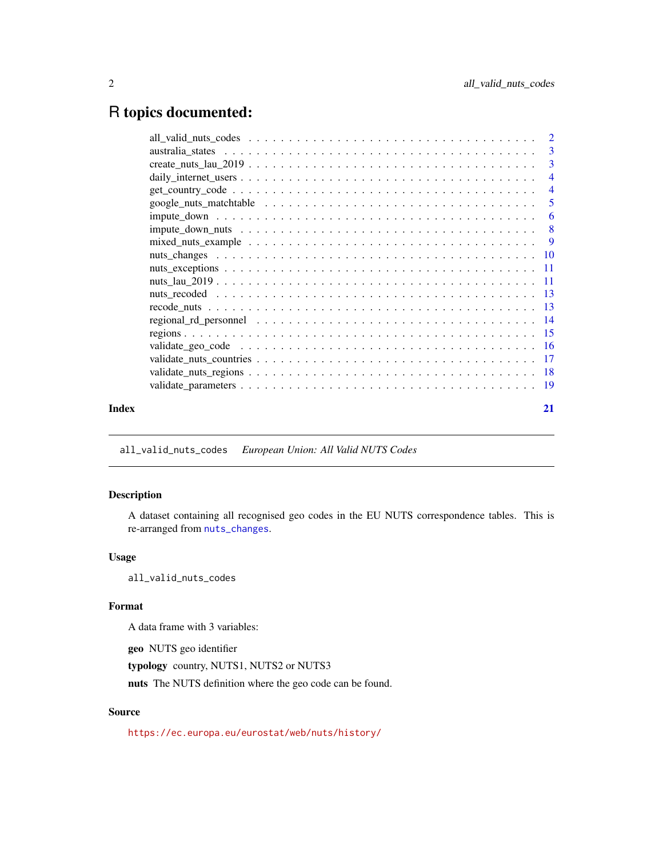## <span id="page-1-0"></span>R topics documented:

| Index | 21 |
|-------|----|
|       |    |

all\_valid\_nuts\_codes *European Union: All Valid NUTS Codes*

#### Description

A dataset containing all recognised geo codes in the EU NUTS correspondence tables. This is re-arranged from [nuts\\_changes](#page-9-1).

#### Usage

all\_valid\_nuts\_codes

#### Format

A data frame with 3 variables:

geo NUTS geo identifier

typology country, NUTS1, NUTS2 or NUTS3

nuts The NUTS definition where the geo code can be found.

### Source

<https://ec.europa.eu/eurostat/web/nuts/history/>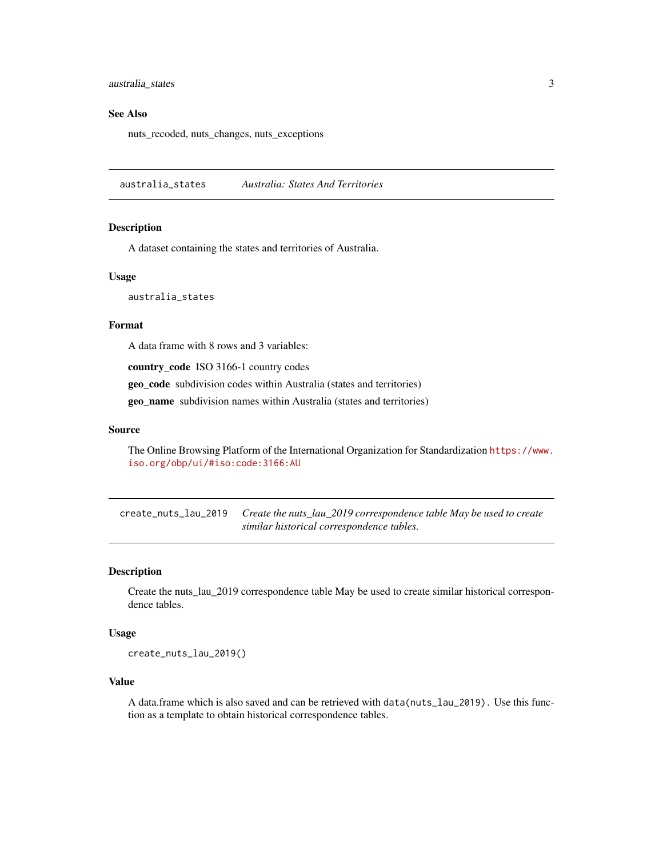<span id="page-2-0"></span>australia\_states 3

#### See Also

nuts\_recoded, nuts\_changes, nuts\_exceptions

australia\_states *Australia: States And Territories*

#### **Description**

A dataset containing the states and territories of Australia.

#### Usage

australia\_states

#### Format

A data frame with 8 rows and 3 variables:

country\_code ISO 3166-1 country codes

geo\_code subdivision codes within Australia (states and territories)

geo\_name subdivision names within Australia (states and territories)

#### Source

The Online Browsing Platform of the International Organization for Standardization [https://www.](https://www.iso.org/obp/ui/#iso:code:3166:AU) [iso.org/obp/ui/#iso:code:3166:AU](https://www.iso.org/obp/ui/#iso:code:3166:AU)

create\_nuts\_lau\_2019 *Create the nuts\_lau\_2019 correspondence table May be used to create similar historical correspondence tables.*

#### Description

Create the nuts\_lau\_2019 correspondence table May be used to create similar historical correspondence tables.

#### Usage

create\_nuts\_lau\_2019()

#### Value

A data.frame which is also saved and can be retrieved with data(nuts\_lau\_2019). Use this function as a template to obtain historical correspondence tables.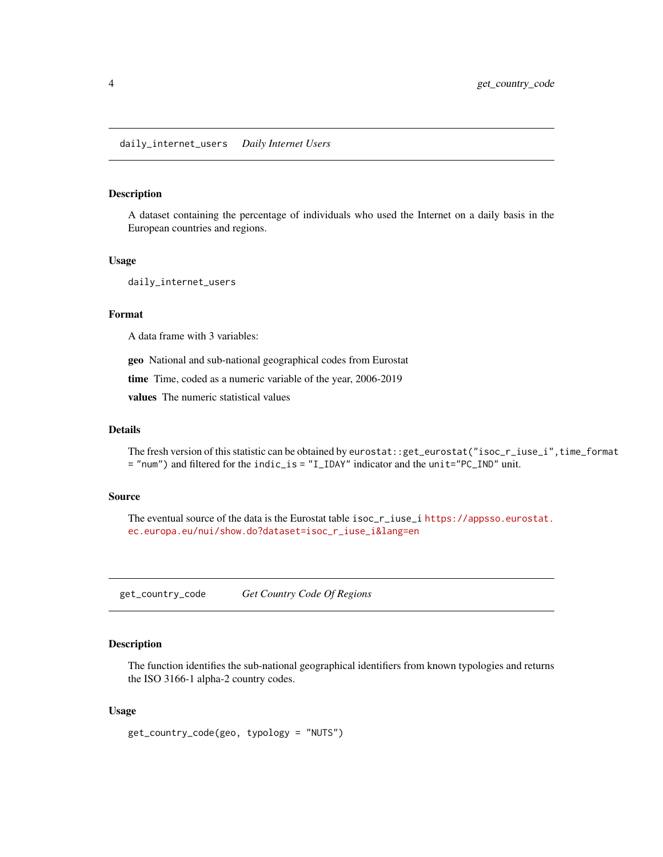#### <span id="page-3-0"></span>Description

A dataset containing the percentage of individuals who used the Internet on a daily basis in the European countries and regions.

#### Usage

daily\_internet\_users

#### Format

A data frame with 3 variables:

geo National and sub-national geographical codes from Eurostat

time Time, coded as a numeric variable of the year, 2006-2019

values The numeric statistical values

#### Details

The fresh version of this statistic can be obtained by eurostat::get\_eurostat("isoc\_r\_iuse\_i",time\_format = "num") and filtered for the indic\_is = "I\_IDAY" indicator and the unit="PC\_IND" unit.

#### Source

The eventual source of the data is the Eurostat table isoc\_r\_iuse\_i [https://appsso.eurostat.](https://appsso.eurostat.ec.europa.eu/nui/show.do?dataset=isoc_r_iuse_i&lang=en) [ec.europa.eu/nui/show.do?dataset=isoc\\_r\\_iuse\\_i&lang=en](https://appsso.eurostat.ec.europa.eu/nui/show.do?dataset=isoc_r_iuse_i&lang=en)

<span id="page-3-1"></span>get\_country\_code *Get Country Code Of Regions*

#### Description

The function identifies the sub-national geographical identifiers from known typologies and returns the ISO 3166-1 alpha-2 country codes.

#### Usage

get\_country\_code(geo, typology = "NUTS")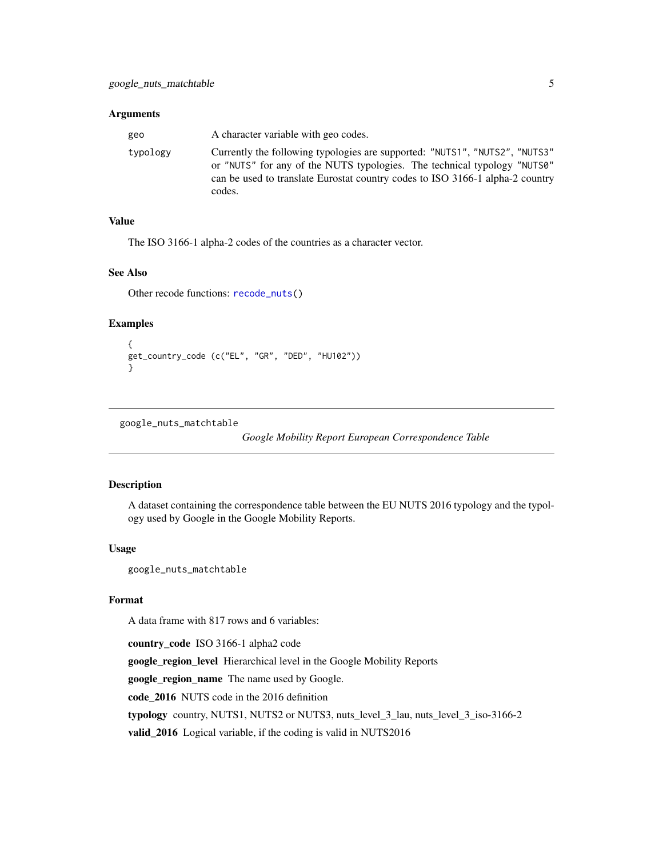#### <span id="page-4-0"></span>Arguments

| geo      | A character variable with geo codes.                                                                                                                                                                                                               |
|----------|----------------------------------------------------------------------------------------------------------------------------------------------------------------------------------------------------------------------------------------------------|
| typology | Currently the following typologies are supported: "NUTS1", "NUTS2", "NUTS3"<br>or "NUTS" for any of the NUTS typologies. The technical typology "NUTS0"<br>can be used to translate Eurostat country codes to ISO 3166-1 alpha-2 country<br>codes. |

#### Value

The ISO 3166-1 alpha-2 codes of the countries as a character vector.

#### See Also

Other recode functions: [recode\\_nuts\(](#page-12-1))

#### Examples

```
{
get_country_code (c("EL", "GR", "DED", "HU102"))
}
```

```
google_nuts_matchtable
```
*Google Mobility Report European Correspondence Table*

#### Description

A dataset containing the correspondence table between the EU NUTS 2016 typology and the typology used by Google in the Google Mobility Reports.

#### Usage

google\_nuts\_matchtable

#### Format

A data frame with 817 rows and 6 variables:

country\_code ISO 3166-1 alpha2 code google\_region\_level Hierarchical level in the Google Mobility Reports google\_region\_name The name used by Google. code\_2016 NUTS code in the 2016 definition typology country, NUTS1, NUTS2 or NUTS3, nuts\_level\_3\_lau, nuts\_level\_3\_iso-3166-2 valid\_2016 Logical variable, if the coding is valid in NUTS2016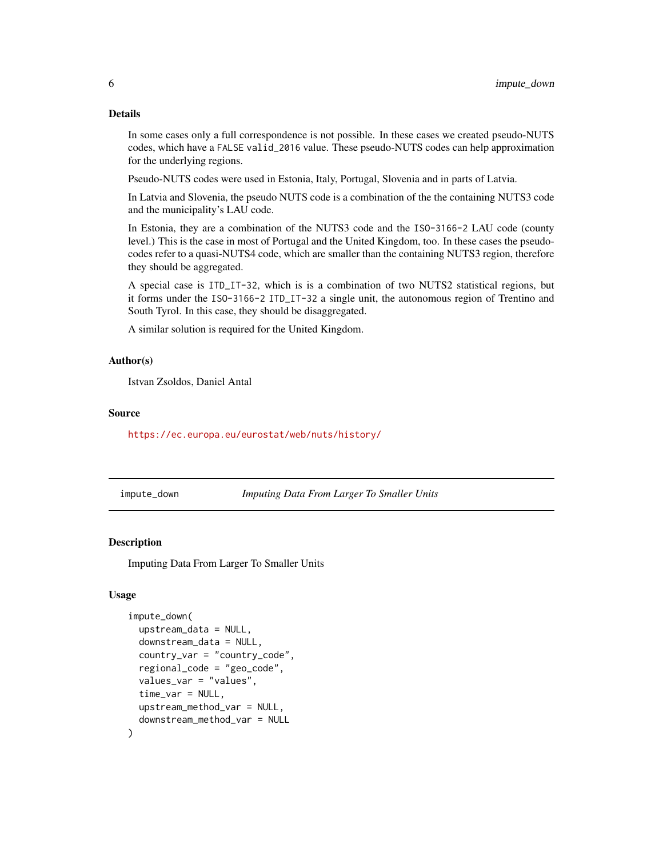#### <span id="page-5-0"></span>Details

In some cases only a full correspondence is not possible. In these cases we created pseudo-NUTS codes, which have a FALSE valid\_2016 value. These pseudo-NUTS codes can help approximation for the underlying regions.

Pseudo-NUTS codes were used in Estonia, Italy, Portugal, Slovenia and in parts of Latvia.

In Latvia and Slovenia, the pseudo NUTS code is a combination of the the containing NUTS3 code and the municipality's LAU code.

In Estonia, they are a combination of the NUTS3 code and the ISO-3166-2 LAU code (county level.) This is the case in most of Portugal and the United Kingdom, too. In these cases the pseudocodes refer to a quasi-NUTS4 code, which are smaller than the containing NUTS3 region, therefore they should be aggregated.

A special case is ITD\_IT-32, which is is a combination of two NUTS2 statistical regions, but it forms under the ISO-3166-2 ITD\_IT-32 a single unit, the autonomous region of Trentino and South Tyrol. In this case, they should be disaggregated.

A similar solution is required for the United Kingdom.

#### Author(s)

Istvan Zsoldos, Daniel Antal

#### Source

<https://ec.europa.eu/eurostat/web/nuts/history/>

<span id="page-5-1"></span>impute\_down *Imputing Data From Larger To Smaller Units*

#### **Description**

Imputing Data From Larger To Smaller Units

#### Usage

```
impute_down(
  upstream_data = NULL,
  downstream_data = NULL,
  country_var = "country_code",
  regional_code = "geo_code",
  values_var = "values",
  time_var = NULL,
  upstream_method_var = NULL,
  downstream_method_var = NULL
)
```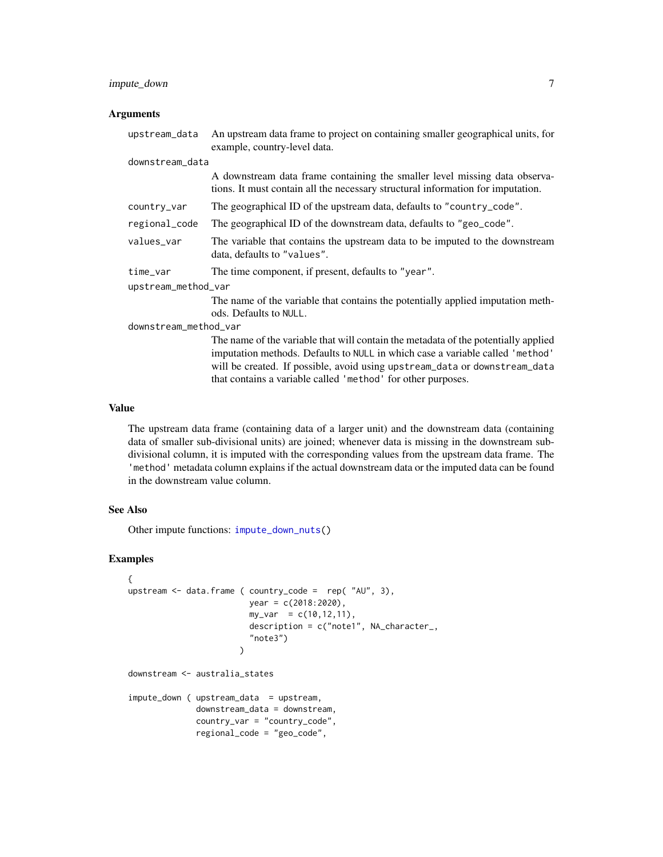#### <span id="page-6-0"></span>impute\_down 7

#### Arguments

| upstream_data         | An upstream data frame to project on containing smaller geographical units, for<br>example, country-level data.                                                                                                                                                                                                   |  |
|-----------------------|-------------------------------------------------------------------------------------------------------------------------------------------------------------------------------------------------------------------------------------------------------------------------------------------------------------------|--|
| downstream_data       |                                                                                                                                                                                                                                                                                                                   |  |
|                       | A downstream data frame containing the smaller level missing data observa-<br>tions. It must contain all the necessary structural information for imputation.                                                                                                                                                     |  |
| country_var           | The geographical ID of the upstream data, defaults to "country_code".                                                                                                                                                                                                                                             |  |
| regional_code         | The geographical ID of the downstream data, defaults to "geo_code".                                                                                                                                                                                                                                               |  |
| values_var            | The variable that contains the upstream data to be imputed to the downstream<br>data, defaults to "values".                                                                                                                                                                                                       |  |
| time_var              | The time component, if present, defaults to "year".                                                                                                                                                                                                                                                               |  |
| upstream_method_var   |                                                                                                                                                                                                                                                                                                                   |  |
|                       | The name of the variable that contains the potentially applied imputation meth-                                                                                                                                                                                                                                   |  |
|                       | ods. Defaults to NULL.                                                                                                                                                                                                                                                                                            |  |
| downstream_method_var |                                                                                                                                                                                                                                                                                                                   |  |
|                       | The name of the variable that will contain the metadata of the potentially applied<br>imputation methods. Defaults to NULL in which case a variable called 'method'<br>will be created. If possible, avoid using upstream_data or downstream_data<br>that contains a variable called 'method' for other purposes. |  |

#### Value

The upstream data frame (containing data of a larger unit) and the downstream data (containing data of smaller sub-divisional units) are joined; whenever data is missing in the downstream subdivisional column, it is imputed with the corresponding values from the upstream data frame. The 'method' metadata column explains if the actual downstream data or the imputed data can be found in the downstream value column.

#### See Also

Other impute functions: [impute\\_down\\_nuts\(](#page-7-1))

#### Examples

```
{
upstream \leq data.frame ( country_code = rep( "AU", 3),
                         year = c(2018:2020),
                         my\_var = c(10, 12, 11),description = c("note1", NA_character_,
                         "note3")
                       )
downstream <- australia_states
impute_down ( upstream_data = upstream,
              downstream_data = downstream,
              country_var = "country_code",
              regional_code = "geo_code",
```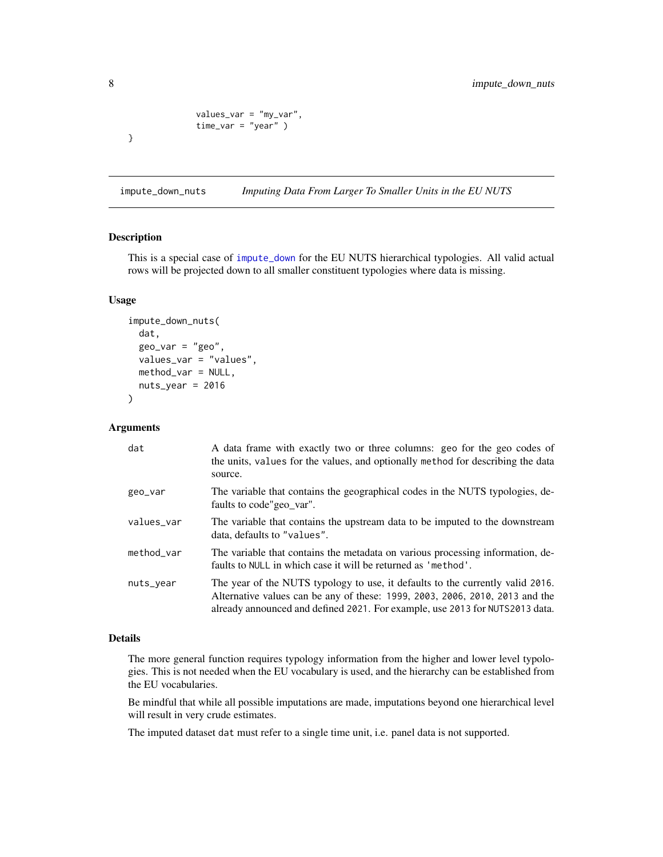```
values_var = "my_var",
              time_var = "year" )
}
```
<span id="page-7-1"></span>impute\_down\_nuts *Imputing Data From Larger To Smaller Units in the EU NUTS*

#### Description

This is a special case of [impute\\_down](#page-5-1) for the EU NUTS hierarchical typologies. All valid actual rows will be projected down to all smaller constituent typologies where data is missing.

#### Usage

```
impute_down_nuts(
  dat,
  geo\_var = "geo",values_var = "values",
 method_var = NULL,
  nuts\_year = 2016\mathcal{E}
```
#### Arguments

| dat        | A data frame with exactly two or three columns: geo for the geo codes of<br>the units, values for the values, and optionally method for describing the data<br>source.                                                                         |
|------------|------------------------------------------------------------------------------------------------------------------------------------------------------------------------------------------------------------------------------------------------|
| geo_var    | The variable that contains the geographical codes in the NUTS typologies, de-<br>faults to code"geo_var".                                                                                                                                      |
| values_var | The variable that contains the upstream data to be imputed to the downstream<br>data, defaults to "values".                                                                                                                                    |
| method_var | The variable that contains the metadata on various processing information, de-<br>faults to NULL in which case it will be returned as 'method'.                                                                                                |
| nuts_year  | The year of the NUTS typology to use, it defaults to the currently valid 2016.<br>Alternative values can be any of these: 1999, 2003, 2006, 2010, 2013 and the<br>already announced and defined 2021. For example, use 2013 for NUTS2013 data. |

#### Details

The more general function requires typology information from the higher and lower level typologies. This is not needed when the EU vocabulary is used, and the hierarchy can be established from the EU vocabularies.

Be mindful that while all possible imputations are made, imputations beyond one hierarchical level will result in very crude estimates.

The imputed dataset dat must refer to a single time unit, i.e. panel data is not supported.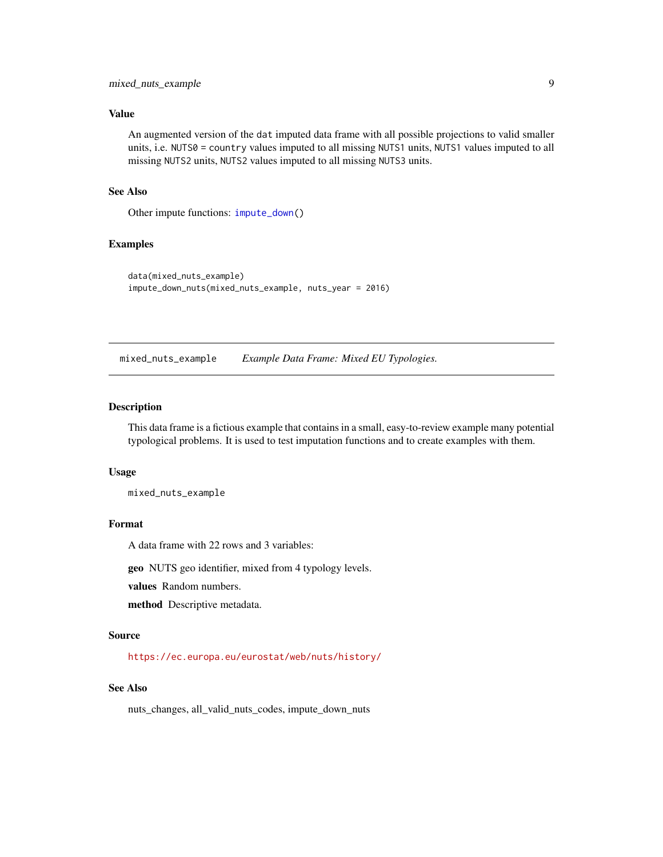#### <span id="page-8-0"></span>Value

An augmented version of the dat imputed data frame with all possible projections to valid smaller units, i.e. NUTS0 = country values imputed to all missing NUTS1 units, NUTS1 values imputed to all missing NUTS2 units, NUTS2 values imputed to all missing NUTS3 units.

#### See Also

Other impute functions: [impute\\_down\(](#page-5-1))

#### Examples

```
data(mixed_nuts_example)
impute_down_nuts(mixed_nuts_example, nuts_year = 2016)
```
mixed\_nuts\_example *Example Data Frame: Mixed EU Typologies.*

#### Description

This data frame is a fictious example that contains in a small, easy-to-review example many potential typological problems. It is used to test imputation functions and to create examples with them.

#### Usage

mixed\_nuts\_example

#### Format

A data frame with 22 rows and 3 variables:

geo NUTS geo identifier, mixed from 4 typology levels.

values Random numbers.

method Descriptive metadata.

#### Source

<https://ec.europa.eu/eurostat/web/nuts/history/>

#### See Also

nuts\_changes, all\_valid\_nuts\_codes, impute\_down\_nuts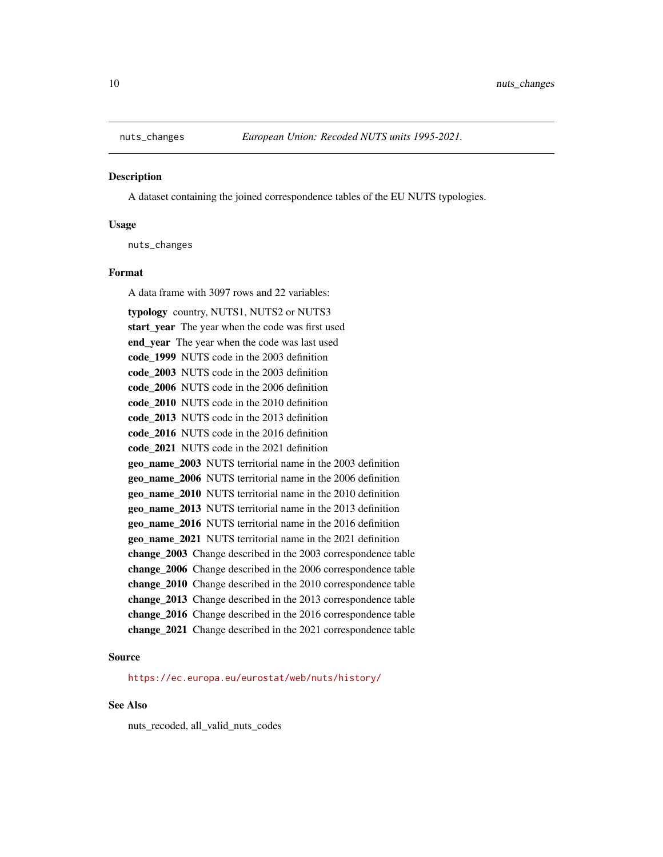<span id="page-9-1"></span><span id="page-9-0"></span>

#### **Description**

A dataset containing the joined correspondence tables of the EU NUTS typologies.

#### Usage

nuts\_changes

#### Format

A data frame with 3097 rows and 22 variables:

typology country, NUTS1, NUTS2 or NUTS3 start\_year The year when the code was first used end year The year when the code was last used code\_1999 NUTS code in the 2003 definition code\_2003 NUTS code in the 2003 definition code\_2006 NUTS code in the 2006 definition code 2010 NUTS code in the 2010 definition code 2013 NUTS code in the 2013 definition code\_2016 NUTS code in the 2016 definition code\_2021 NUTS code in the 2021 definition geo\_name\_2003 NUTS territorial name in the 2003 definition geo\_name\_2006 NUTS territorial name in the 2006 definition geo\_name\_2010 NUTS territorial name in the 2010 definition geo\_name\_2013 NUTS territorial name in the 2013 definition geo\_name\_2016 NUTS territorial name in the 2016 definition geo\_name\_2021 NUTS territorial name in the 2021 definition change\_2003 Change described in the 2003 correspondence table change\_2006 Change described in the 2006 correspondence table change\_2010 Change described in the 2010 correspondence table change\_2013 Change described in the 2013 correspondence table change\_2016 Change described in the 2016 correspondence table change\_2021 Change described in the 2021 correspondence table

#### Source

<https://ec.europa.eu/eurostat/web/nuts/history/>

#### See Also

nuts\_recoded, all\_valid\_nuts\_codes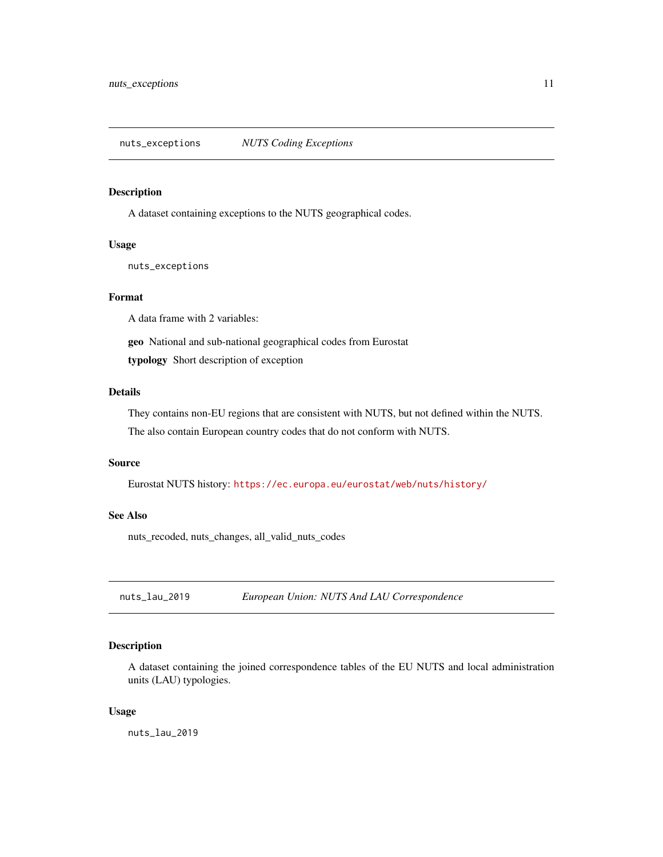<span id="page-10-0"></span>nuts\_exceptions *NUTS Coding Exceptions*

#### Description

A dataset containing exceptions to the NUTS geographical codes.

#### Usage

nuts\_exceptions

#### Format

A data frame with 2 variables:

geo National and sub-national geographical codes from Eurostat

typology Short description of exception

#### Details

They contains non-EU regions that are consistent with NUTS, but not defined within the NUTS. The also contain European country codes that do not conform with NUTS.

#### Source

Eurostat NUTS history: <https://ec.europa.eu/eurostat/web/nuts/history/>

#### See Also

nuts\_recoded, nuts\_changes, all\_valid\_nuts\_codes

nuts\_lau\_2019 *European Union: NUTS And LAU Correspondence*

#### Description

A dataset containing the joined correspondence tables of the EU NUTS and local administration units (LAU) typologies.

#### Usage

nuts\_lau\_2019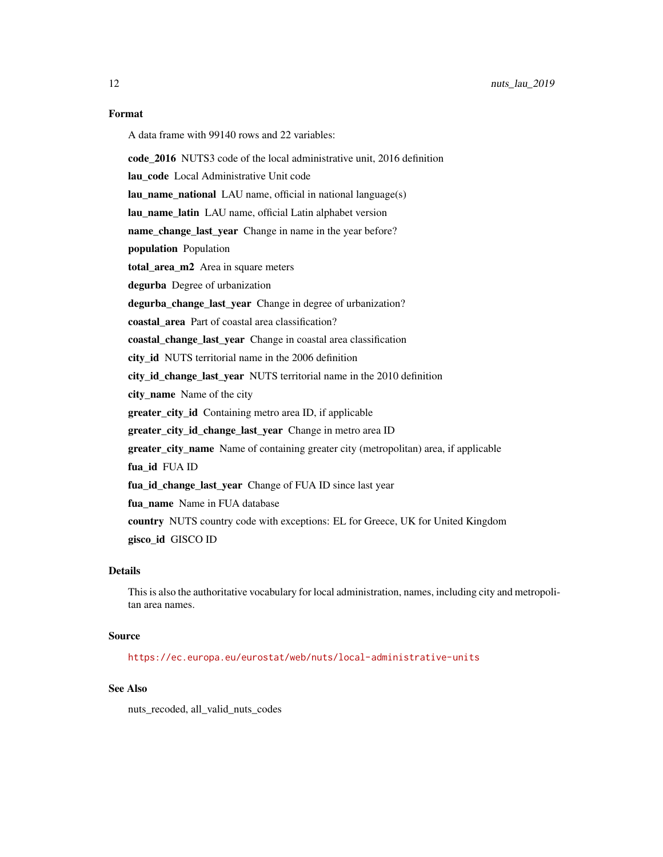#### Format

A data frame with 99140 rows and 22 variables:

code\_2016 NUTS3 code of the local administrative unit, 2016 definition

lau\_code Local Administrative Unit code

lau\_name\_national LAU name, official in national language(s)

lau\_name\_latin LAU name, official Latin alphabet version

name\_change\_last\_year Change in name in the year before?

population Population

total\_area\_m2 Area in square meters

degurba Degree of urbanization

degurba\_change\_last\_year Change in degree of urbanization?

coastal\_area Part of coastal area classification?

coastal\_change\_last\_year Change in coastal area classification

city\_id NUTS territorial name in the 2006 definition

city id change last year NUTS territorial name in the 2010 definition

city name Name of the city

greater\_city\_id Containing metro area ID, if applicable

greater\_city\_id\_change\_last\_year Change in metro area ID

greater\_city\_name Name of containing greater city (metropolitan) area, if applicable

fua\_id FUA ID

fua\_id\_change\_last\_year Change of FUA ID since last year

fua\_name Name in FUA database

country NUTS country code with exceptions: EL for Greece, UK for United Kingdom gisco\_id GISCO ID

#### Details

This is also the authoritative vocabulary for local administration, names, including city and metropolitan area names.

#### Source

<https://ec.europa.eu/eurostat/web/nuts/local-administrative-units>

#### See Also

nuts\_recoded, all\_valid\_nuts\_codes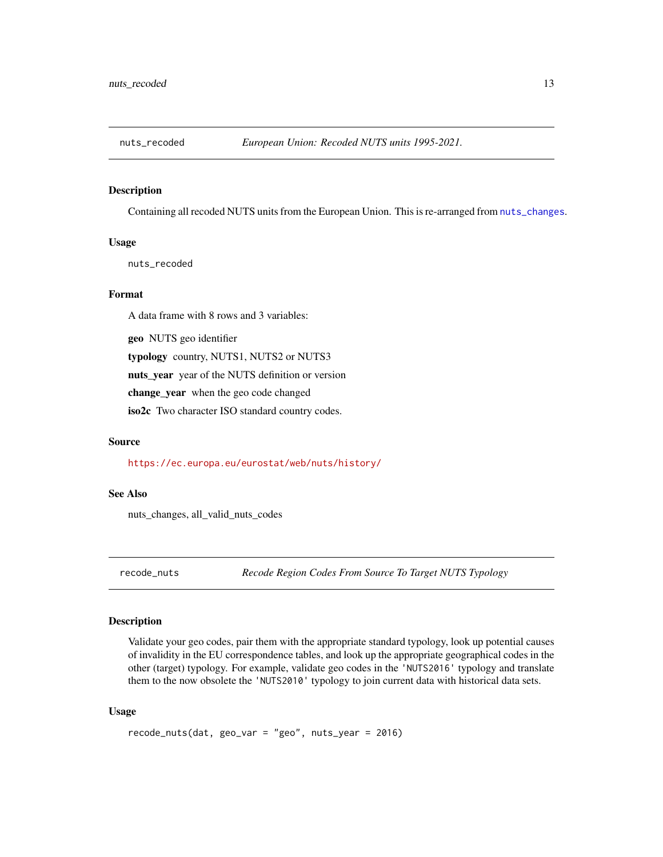<span id="page-12-0"></span>

#### **Description**

Containing all recoded NUTS units from the European Union. This is re-arranged from [nuts\\_changes](#page-9-1).

#### Usage

nuts\_recoded

#### Format

A data frame with 8 rows and 3 variables:

geo NUTS geo identifier

typology country, NUTS1, NUTS2 or NUTS3

nuts\_year year of the NUTS definition or version

change\_year when the geo code changed

iso2c Two character ISO standard country codes.

#### Source

<https://ec.europa.eu/eurostat/web/nuts/history/>

#### See Also

nuts\_changes, all\_valid\_nuts\_codes

<span id="page-12-1"></span>recode\_nuts *Recode Region Codes From Source To Target NUTS Typology*

#### Description

Validate your geo codes, pair them with the appropriate standard typology, look up potential causes of invalidity in the EU correspondence tables, and look up the appropriate geographical codes in the other (target) typology. For example, validate geo codes in the 'NUTS2016' typology and translate them to the now obsolete the 'NUTS2010' typology to join current data with historical data sets.

#### Usage

```
recode_nuts(dat, geo_var = "geo", nuts_year = 2016)
```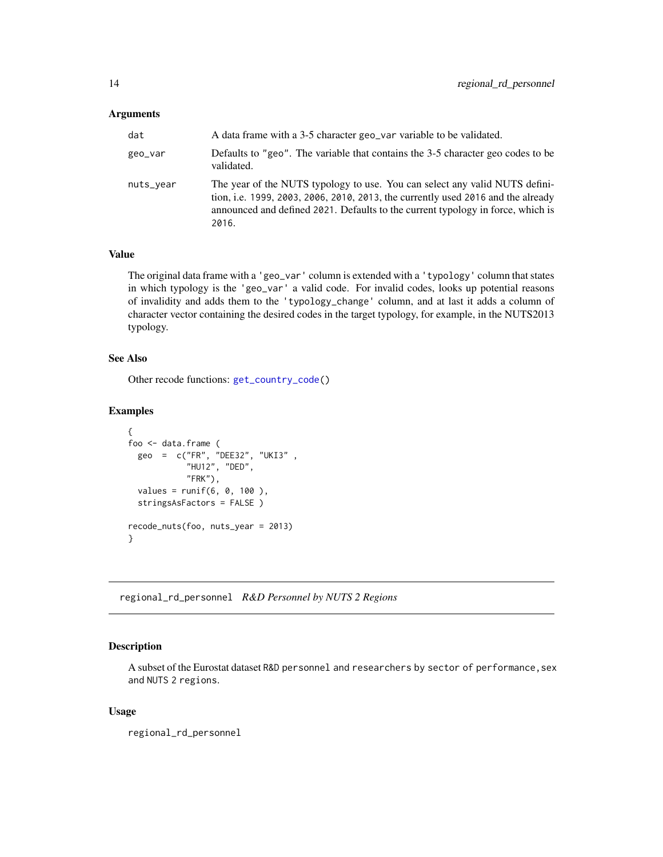#### <span id="page-13-0"></span>Arguments

| dat       | A data frame with a 3-5 character geo var variable to be validated.                                                                                                                                                                                         |
|-----------|-------------------------------------------------------------------------------------------------------------------------------------------------------------------------------------------------------------------------------------------------------------|
| geo_var   | Defaults to "geo". The variable that contains the 3-5 character geo codes to be<br>validated.                                                                                                                                                               |
| nuts_vear | The year of the NUTS typology to use. You can select any valid NUTS defini-<br>tion, i.e. 1999, 2003, 2006, 2010, 2013, the currently used 2016 and the already<br>announced and defined 2021. Defaults to the current typology in force, which is<br>2016. |

#### Value

The original data frame with a 'geo\_var' column is extended with a 'typology' column that states in which typology is the 'geo\_var' a valid code. For invalid codes, looks up potential reasons of invalidity and adds them to the 'typology\_change' column, and at last it adds a column of character vector containing the desired codes in the target typology, for example, in the NUTS2013 typology.

#### See Also

Other recode functions: [get\\_country\\_code\(](#page-3-1))

### Examples

```
{
foo <- data.frame (
  geo = c("FR", "DEE32", "UKI3" ,
            "HU12", "DED",
           "FRK"),
  values = runif(6, 0, 100),
  stringsAsFactors = FALSE )
recode_nuts(foo, nuts_year = 2013)
}
```
regional\_rd\_personnel *R&D Personnel by NUTS 2 Regions*

#### Description

A subset of the Eurostat dataset R&D personnel and researchers by sector of performance,sex and NUTS 2 regions.

#### Usage

regional\_rd\_personnel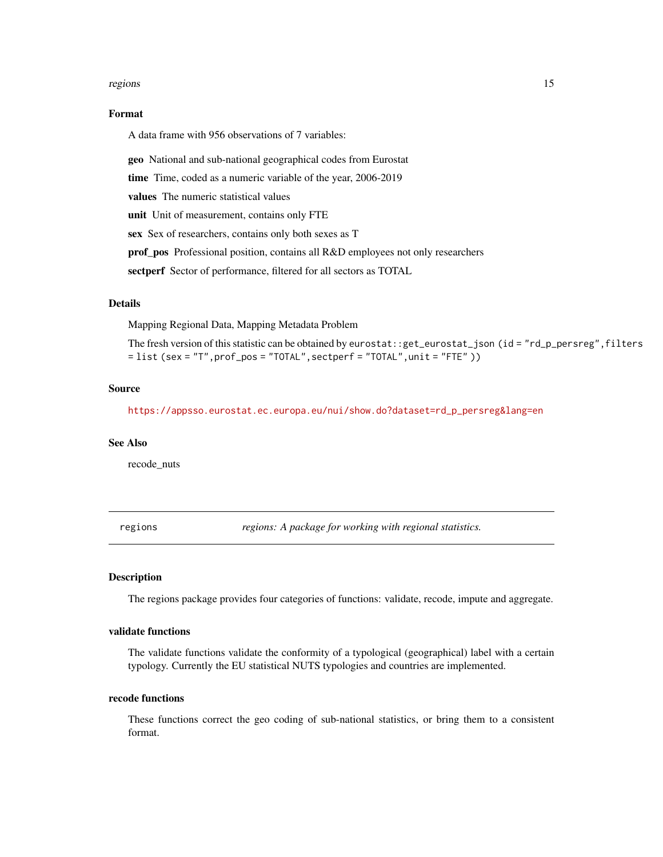#### <span id="page-14-0"></span>regions and the set of the set of the set of the set of the set of the set of the set of the set of the set of the set of the set of the set of the set of the set of the set of the set of the set of the set of the set of t

#### Format

A data frame with 956 observations of 7 variables:

geo National and sub-national geographical codes from Eurostat

time Time, coded as a numeric variable of the year, 2006-2019

values The numeric statistical values

unit Unit of measurement, contains only FTE

sex Sex of researchers, contains only both sexes as T

prof\_pos Professional position, contains all R&D employees not only researchers

sectperf Sector of performance, filtered for all sectors as TOTAL

#### Details

Mapping Regional Data, Mapping Metadata Problem

The fresh version of this statistic can be obtained by eurostat::get\_eurostat\_json (id = "rd\_p\_persreg", filters  $=$  list (sex = "T", prof\_pos = "TOTAL", sectperf = "TOTAL", unit = "FTE" ))

#### Source

[https://appsso.eurostat.ec.europa.eu/nui/show.do?dataset=rd\\_p\\_persreg&lang=en](https://appsso.eurostat.ec.europa.eu/nui/show.do?dataset=rd_p_persreg&lang=en)

#### See Also

recode\_nuts

regions *regions: A package for working with regional statistics.*

#### Description

The regions package provides four categories of functions: validate, recode, impute and aggregate.

#### validate functions

The validate functions validate the conformity of a typological (geographical) label with a certain typology. Currently the EU statistical NUTS typologies and countries are implemented.

#### recode functions

These functions correct the geo coding of sub-national statistics, or bring them to a consistent format.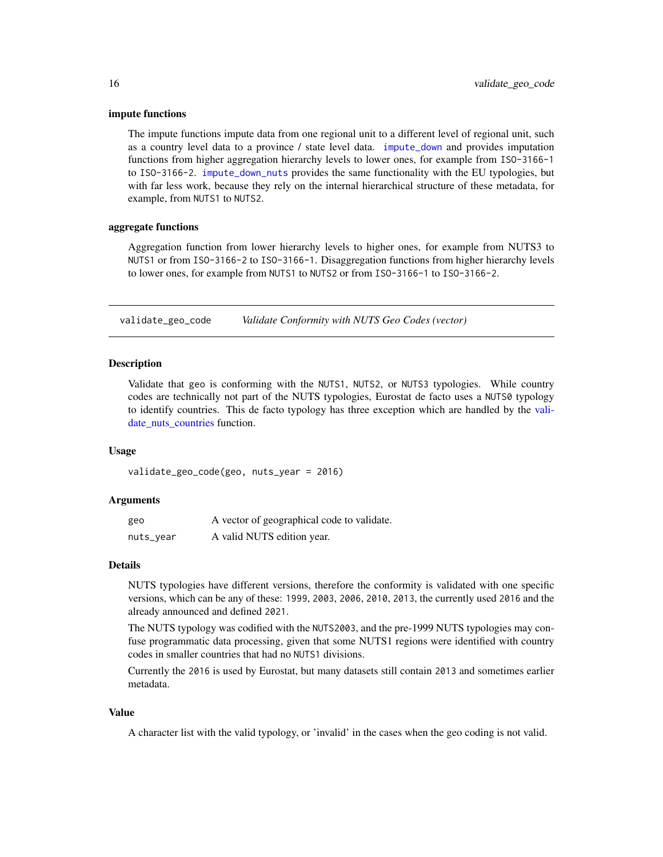#### <span id="page-15-0"></span>impute functions

The impute functions impute data from one regional unit to a different level of regional unit, such as a country level data to a province / state level data. [impute\\_down](#page-5-1) and provides imputation functions from higher aggregation hierarchy levels to lower ones, for example from ISO-3166-1 to ISO-3166-2. [impute\\_down\\_nuts](#page-7-1) provides the same functionality with the EU typologies, but with far less work, because they rely on the internal hierarchical structure of these metadata, for example, from NUTS1 to NUTS2.

#### aggregate functions

Aggregation function from lower hierarchy levels to higher ones, for example from NUTS3 to NUTS1 or from ISO-3166-2 to ISO-3166-1. Disaggregation functions from higher hierarchy levels to lower ones, for example from NUTS1 to NUTS2 or from ISO-3166-1 to ISO-3166-2.

validate\_geo\_code *Validate Conformity with NUTS Geo Codes (vector)*

#### **Description**

Validate that geo is conforming with the NUTS1, NUTS2, or NUTS3 typologies. While country codes are technically not part of the NUTS typologies, Eurostat de facto uses a NUTS0 typology to identify countries. This de facto typology has three exception which are handled by the [vali](#page-16-1)date nuts countries function.

#### Usage

validate\_geo\_code(geo, nuts\_year = 2016)

#### Arguments

| geo       | A vector of geographical code to validate. |
|-----------|--------------------------------------------|
| nuts_year | A valid NUTS edition year.                 |

#### Details

NUTS typologies have different versions, therefore the conformity is validated with one specific versions, which can be any of these: 1999, 2003, 2006, 2010, 2013, the currently used 2016 and the already announced and defined 2021.

The NUTS typology was codified with the NUTS2003, and the pre-1999 NUTS typologies may confuse programmatic data processing, given that some NUTS1 regions were identified with country codes in smaller countries that had no NUTS1 divisions.

Currently the 2016 is used by Eurostat, but many datasets still contain 2013 and sometimes earlier metadata.

#### Value

A character list with the valid typology, or 'invalid' in the cases when the geo coding is not valid.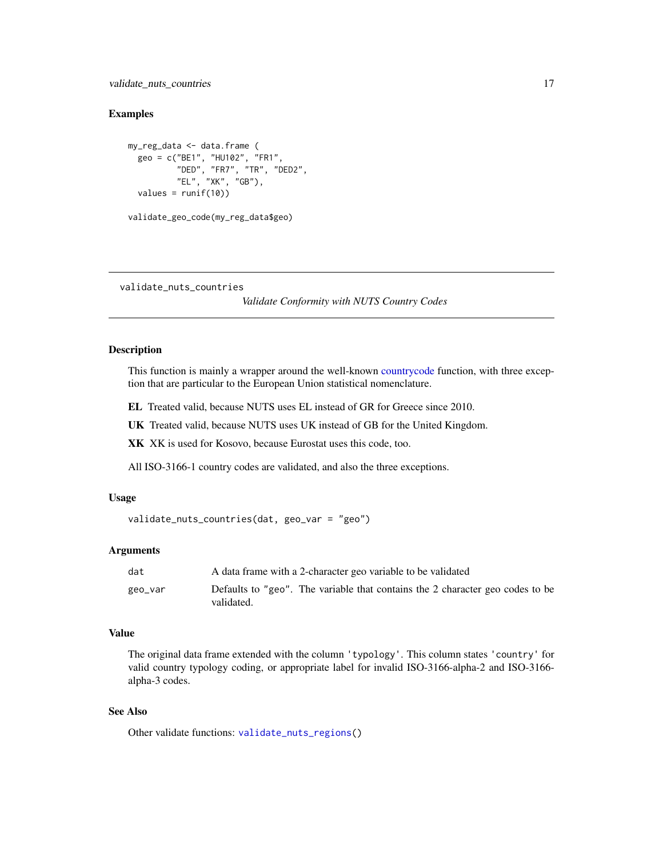#### <span id="page-16-0"></span>validate\_nuts\_countries 17

#### Examples

```
my_reg_data <- data.frame (
  geo = c("BE1", "HU102", "FR1",
          "DED", "FR7", "TR", "DED2",
          "EL", "XK", "GB"),
  values = runif(10)validate_geo_code(my_reg_data$geo)
```
<span id="page-16-1"></span>validate\_nuts\_countries

*Validate Conformity with NUTS Country Codes*

#### Description

This function is mainly a wrapper around the well-known [countrycode](#page-0-0) function, with three exception that are particular to the European Union statistical nomenclature.

EL Treated valid, because NUTS uses EL instead of GR for Greece since 2010.

UK Treated valid, because NUTS uses UK instead of GB for the United Kingdom.

XK XK is used for Kosovo, because Eurostat uses this code, too.

All ISO-3166-1 country codes are validated, and also the three exceptions.

#### Usage

```
validate_nuts_countries(dat, geo_var = "geo")
```
#### Arguments

| dat     | A data frame with a 2-character geo variable to be validated                                |
|---------|---------------------------------------------------------------------------------------------|
| geo_var | Defaults to "geo". The variable that contains the 2 character geo codes to be<br>validated. |

#### Value

The original data frame extended with the column 'typology'. This column states 'country' for valid country typology coding, or appropriate label for invalid ISO-3166-alpha-2 and ISO-3166 alpha-3 codes.

#### See Also

Other validate functions: [validate\\_nuts\\_regions\(](#page-17-1))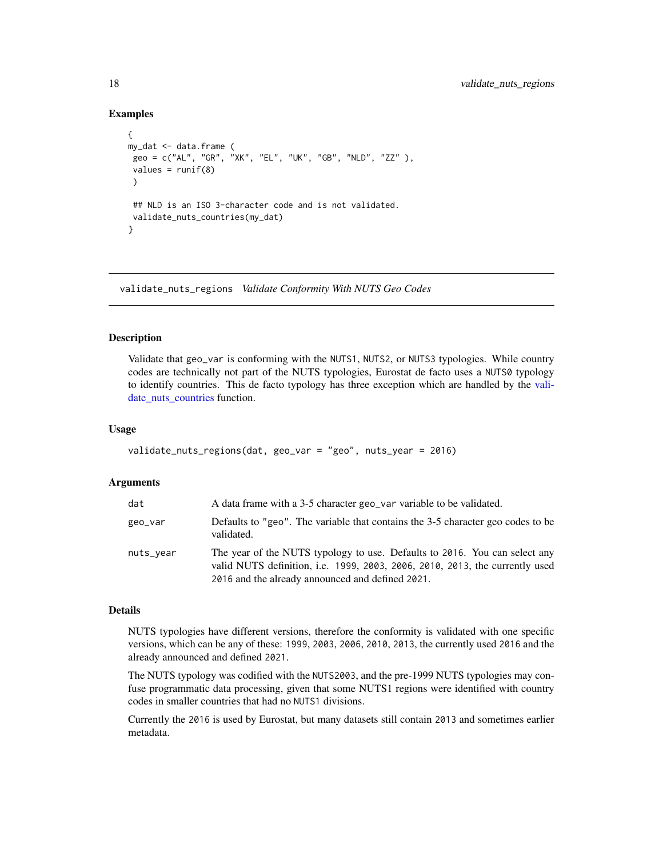#### Examples

```
{
my_dat <- data.frame (
 geo = c("AL", "GR", "XK", "EL", "UK", "GB", "NLD", "ZZ" ),
 values = runif(8))
 ## NLD is an ISO 3-character code and is not validated.
 validate_nuts_countries(my_dat)
}
```
<span id="page-17-1"></span>validate\_nuts\_regions *Validate Conformity With NUTS Geo Codes*

#### Description

Validate that geo\_var is conforming with the NUTS1, NUTS2, or NUTS3 typologies. While country codes are technically not part of the NUTS typologies, Eurostat de facto uses a NUTS0 typology to identify countries. This de facto typology has three exception which are handled by the [vali](#page-16-1)[date\\_nuts\\_countries](#page-16-1) function.

#### Usage

```
validate_nuts_regions(dat, geo_var = "geo", nuts_year = 2016)
```
#### Arguments

| dat       | A data frame with a 3-5 character geo var variable to be validated.                                                                                                                                            |
|-----------|----------------------------------------------------------------------------------------------------------------------------------------------------------------------------------------------------------------|
| geo_var   | Defaults to "geo". The variable that contains the 3-5 character geo codes to be<br>validated.                                                                                                                  |
| nuts_year | The year of the NUTS typology to use. Defaults to 2016. You can select any<br>valid NUTS definition, i.e. 1999, 2003, 2006, 2010, 2013, the currently used<br>2016 and the already announced and defined 2021. |

#### Details

NUTS typologies have different versions, therefore the conformity is validated with one specific versions, which can be any of these: 1999, 2003, 2006, 2010, 2013, the currently used 2016 and the already announced and defined 2021.

The NUTS typology was codified with the NUTS2003, and the pre-1999 NUTS typologies may confuse programmatic data processing, given that some NUTS1 regions were identified with country codes in smaller countries that had no NUTS1 divisions.

Currently the 2016 is used by Eurostat, but many datasets still contain 2013 and sometimes earlier metadata.

<span id="page-17-0"></span>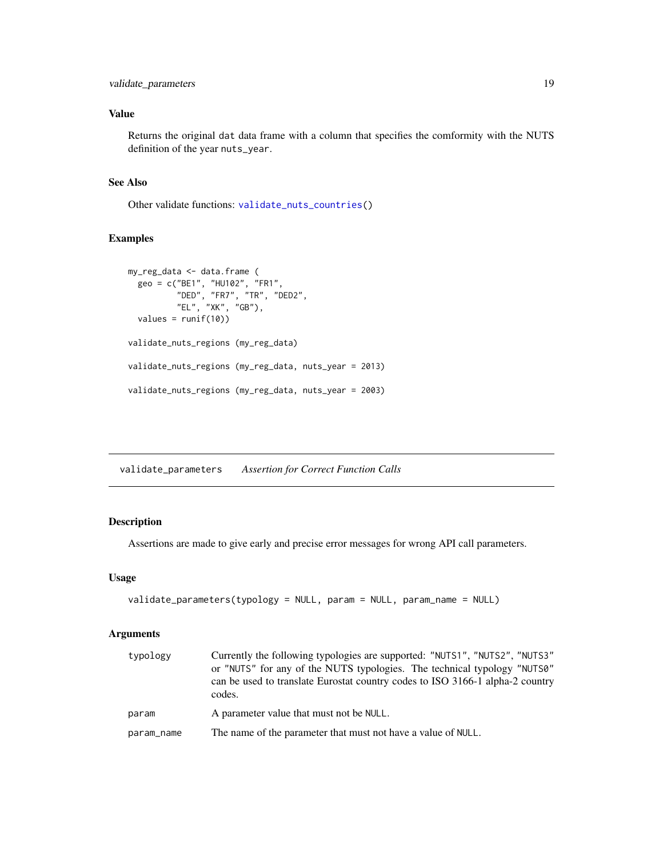#### <span id="page-18-0"></span>Value

Returns the original dat data frame with a column that specifies the comformity with the NUTS definition of the year nuts\_year.

#### See Also

Other validate functions: [validate\\_nuts\\_countries\(](#page-16-1))

#### Examples

```
my_reg_data <- data.frame (
  geo = c("BE1", "HU102", "FR1",
          "DED", "FR7", "TR", "DED2",
          "EL", "XK", "GB"),
  values = runif(10))
validate_nuts_regions (my_reg_data)
validate_nuts_regions (my_reg_data, nuts_year = 2013)
validate_nuts_regions (my_reg_data, nuts_year = 2003)
```
<span id="page-18-1"></span>validate\_parameters *Assertion for Correct Function Calls*

#### Description

Assertions are made to give early and precise error messages for wrong API call parameters.

#### Usage

```
validate_parameters(typology = NULL, param = NULL, param_name = NULL)
```
#### Arguments

| typology   | Currently the following typologies are supported: "NUTS1", "NUTS2", "NUTS3"<br>or "NUTS" for any of the NUTS typologies. The technical typology "NUTS0"<br>can be used to translate Eurostat country codes to ISO 3166-1 alpha-2 country<br>codes. |
|------------|----------------------------------------------------------------------------------------------------------------------------------------------------------------------------------------------------------------------------------------------------|
| param      | A parameter value that must not be NULL.                                                                                                                                                                                                           |
| param_name | The name of the parameter that must not have a value of NULL.                                                                                                                                                                                      |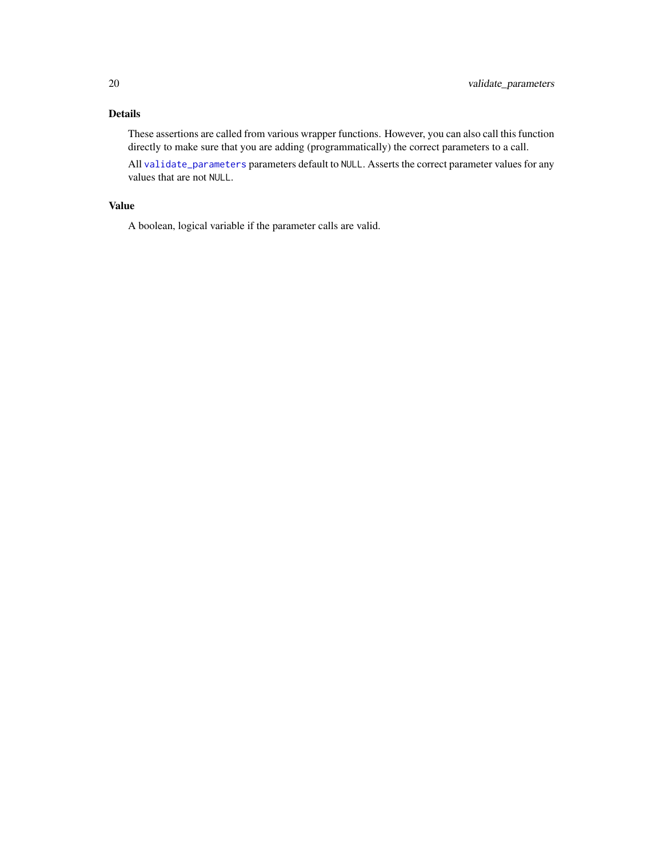### <span id="page-19-0"></span>Details

These assertions are called from various wrapper functions. However, you can also call this function directly to make sure that you are adding (programmatically) the correct parameters to a call.

All [validate\\_parameters](#page-18-1) parameters default to NULL. Asserts the correct parameter values for any values that are not NULL.

#### Value

A boolean, logical variable if the parameter calls are valid.